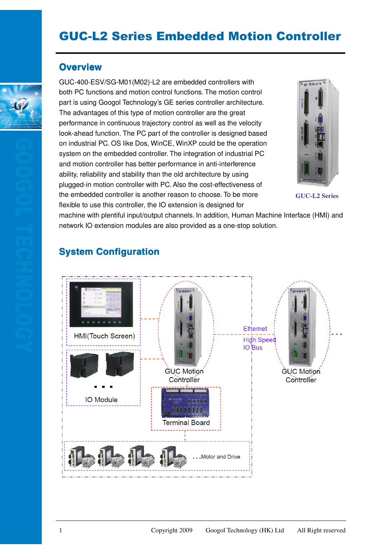# GUC-L2 Series Embedded Motion Controller

#### **Overview**

GUC-400-ESV/SG-M01(M02)-L2 are embedded controllers with both PC functions and motion control functions. The motion control part is using Googol Technology's GE series controller architecture. The advantages of this type of motion controller are the great performance in continuous trajectory control as well as the velocity look-ahead function. The PC part of the controller is designed based on industrial PC. OS like Dos, WinCE, WinXP could be the operation system on the embedded controller. The integration of industrial PC and motion controller has better performance in anti-interference ability, reliability and stability than the old architecture by using plugged-in motion controller with PC. Also the cost-effectiveness of the embedded controller is another reason to choose. To be more flexible to use this controller, the IO extension is designed for



**GUC-L2 Series**

machine with plentiful input/output channels. In addition, Human Machine Interface (HMI) and network IO extension modules are also provided as a one-stop solution.

### **System Configuration**



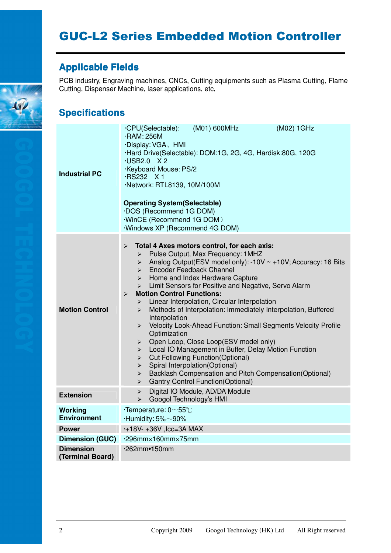# GUC-L2 Series Embedded Motion Controller

### **Applicable Fields Applicable Fields**

PCB industry, Engraving machines, CNCs, Cutting equipments such as Plasma Cutting, Flame Cutting, Dispenser Machine, laser applications, etc,

### **Specifications**

| <b>Industrial PC</b>                 | ·CPU(Selectable):<br>(M01) 600MHz<br>(M02) 1GHz<br>·RAM: 256M<br>·Display: VGA、HMI<br>·Hard Drive(Selectable): DOM:1G, 2G, 4G, Hardisk:80G, 120G<br>·USB2.0 X2<br>Keyboard Mouse: PS/2<br>·RS232 X 1<br>·Network: RTL8139, 10M/100M<br><b>Operating System(Selectable)</b><br><b>DOS</b> (Recommend 1G DOM)<br><b>WinCE (Recommend 1G DOM)</b><br><b>Windows XP (Recommend 4G DOM)</b>                                                                                                                                                                                                                                                                                                                                                                                                                                                                                                                                                                                                                                                                                              |  |  |  |
|--------------------------------------|-------------------------------------------------------------------------------------------------------------------------------------------------------------------------------------------------------------------------------------------------------------------------------------------------------------------------------------------------------------------------------------------------------------------------------------------------------------------------------------------------------------------------------------------------------------------------------------------------------------------------------------------------------------------------------------------------------------------------------------------------------------------------------------------------------------------------------------------------------------------------------------------------------------------------------------------------------------------------------------------------------------------------------------------------------------------------------------|--|--|--|
| <b>Motion Control</b>                | Total 4 Axes motors control, for each axis:<br>$\blacktriangleright$<br>Pulse Output, Max Frequency: 1MHZ<br>$\triangleright$<br>Analog Output(ESV model only): -10V ~ +10V; Accuracy: 16 Bits<br>➤<br>Encoder Feedback Channel<br>$\blacktriangleright$<br>Home and Index Hardware Capture<br>$\blacktriangleright$<br>Limit Sensors for Positive and Negative, Servo Alarm<br>$\blacktriangleright$<br><b>Motion Control Functions:</b><br>$\blacktriangleright$<br>Linear Interpolation, Circular Interpolation<br>➤<br>Methods of Interpolation: Immediately Interpolation, Buffered<br>➤<br>Interpolation<br>Velocity Look-Ahead Function: Small Segments Velocity Profile<br>$\blacktriangleright$<br>Optimization<br>Open Loop, Close Loop(ESV model only)<br>➤<br>Local IO Management in Buffer, Delay Motion Function<br>➤<br><b>Cut Following Function(Optional)</b><br>➤<br>Spiral Interpolation(Optional)<br>$\blacktriangleright$<br>Backlash Compensation and Pitch Compensation(Optional)<br>➤<br><b>Gantry Control Function (Optional)</b><br>$\blacktriangleright$ |  |  |  |
| <b>Extension</b>                     | Digital IO Module, AD/DA Module<br>$\blacktriangleright$<br>Googol Technology's HMI<br>$\blacktriangleright$                                                                                                                                                                                                                                                                                                                                                                                                                                                                                                                                                                                                                                                                                                                                                                                                                                                                                                                                                                        |  |  |  |
| <b>Working</b><br><b>Environment</b> | $\cdot$ Temperature: 0 $\sim$ 55°C<br>$\cdot$ Humidity: 5% $\sim$ 90%                                                                                                                                                                                                                                                                                                                                                                                                                                                                                                                                                                                                                                                                                                                                                                                                                                                                                                                                                                                                               |  |  |  |
| <b>Power</b>                         | $+18V + 36V$ , Icc=3A MAX                                                                                                                                                                                                                                                                                                                                                                                                                                                                                                                                                                                                                                                                                                                                                                                                                                                                                                                                                                                                                                                           |  |  |  |
| <b>Dimension (GUC)</b>               | $-296$ mm × 160mm × 75mm                                                                                                                                                                                                                                                                                                                                                                                                                                                                                                                                                                                                                                                                                                                                                                                                                                                                                                                                                                                                                                                            |  |  |  |
| <b>Dimension</b><br>(Terminal Board) | ·262mm•150mm                                                                                                                                                                                                                                                                                                                                                                                                                                                                                                                                                                                                                                                                                                                                                                                                                                                                                                                                                                                                                                                                        |  |  |  |